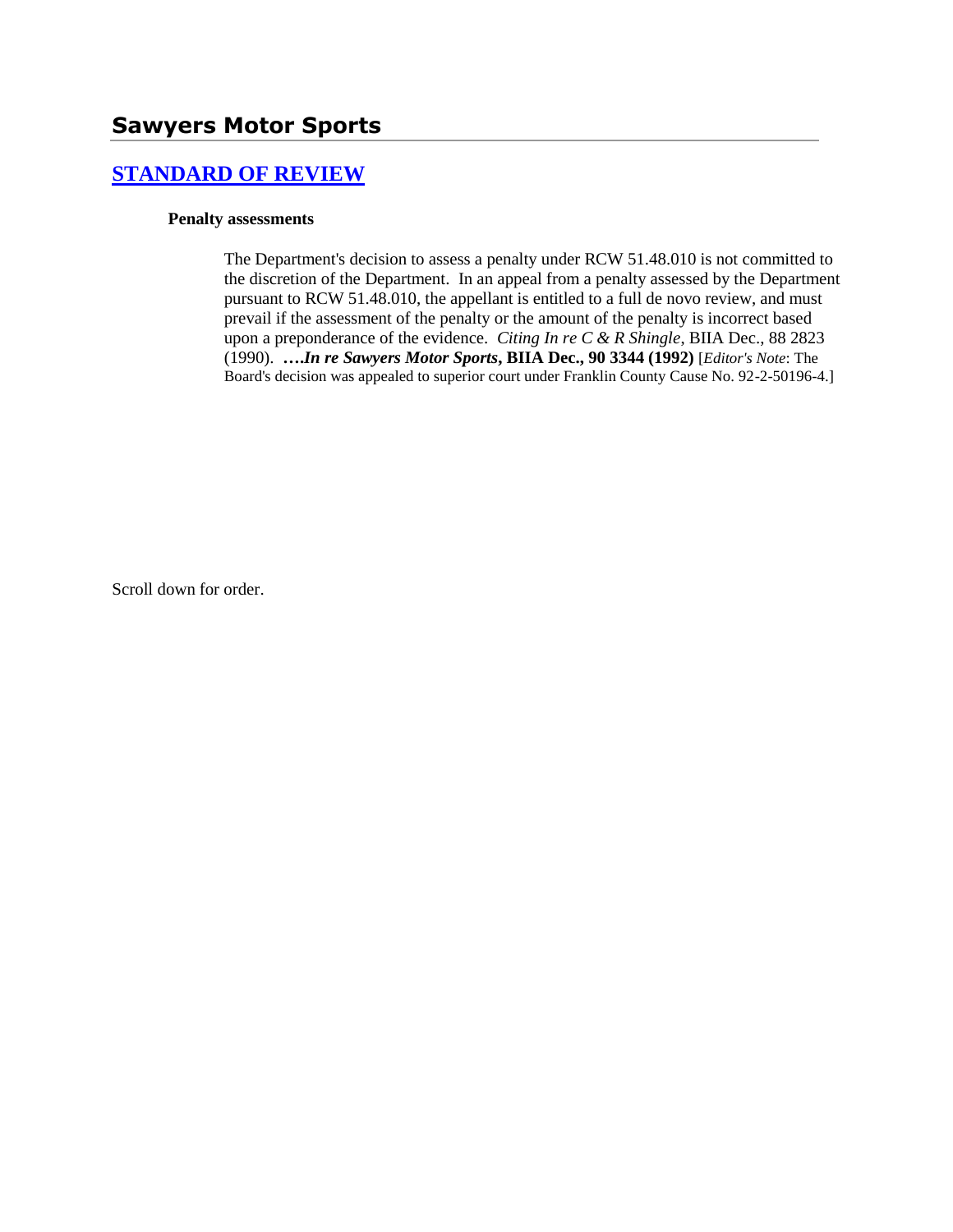# **[STANDARD OF REVIEW](http://www.biia.wa.gov/SDSubjectIndex.html#STANDARD_OF_REVIEW)**

### **Penalty assessments**

The Department's decision to assess a penalty under RCW 51.48.010 is not committed to the discretion of the Department. In an appeal from a penalty assessed by the Department pursuant to RCW 51.48.010, the appellant is entitled to a full de novo review, and must prevail if the assessment of the penalty or the amount of the penalty is incorrect based upon a preponderance of the evidence. *Citing In re C & R Shingle*, BIIA Dec., 88 2823 (1990). **….***In re Sawyers Motor Sports***, BIIA Dec., 90 3344 (1992)** [*Editor's Note*: The Board's decision was appealed to superior court under Franklin County Cause No. 92-2-50196-4.]

Scroll down for order.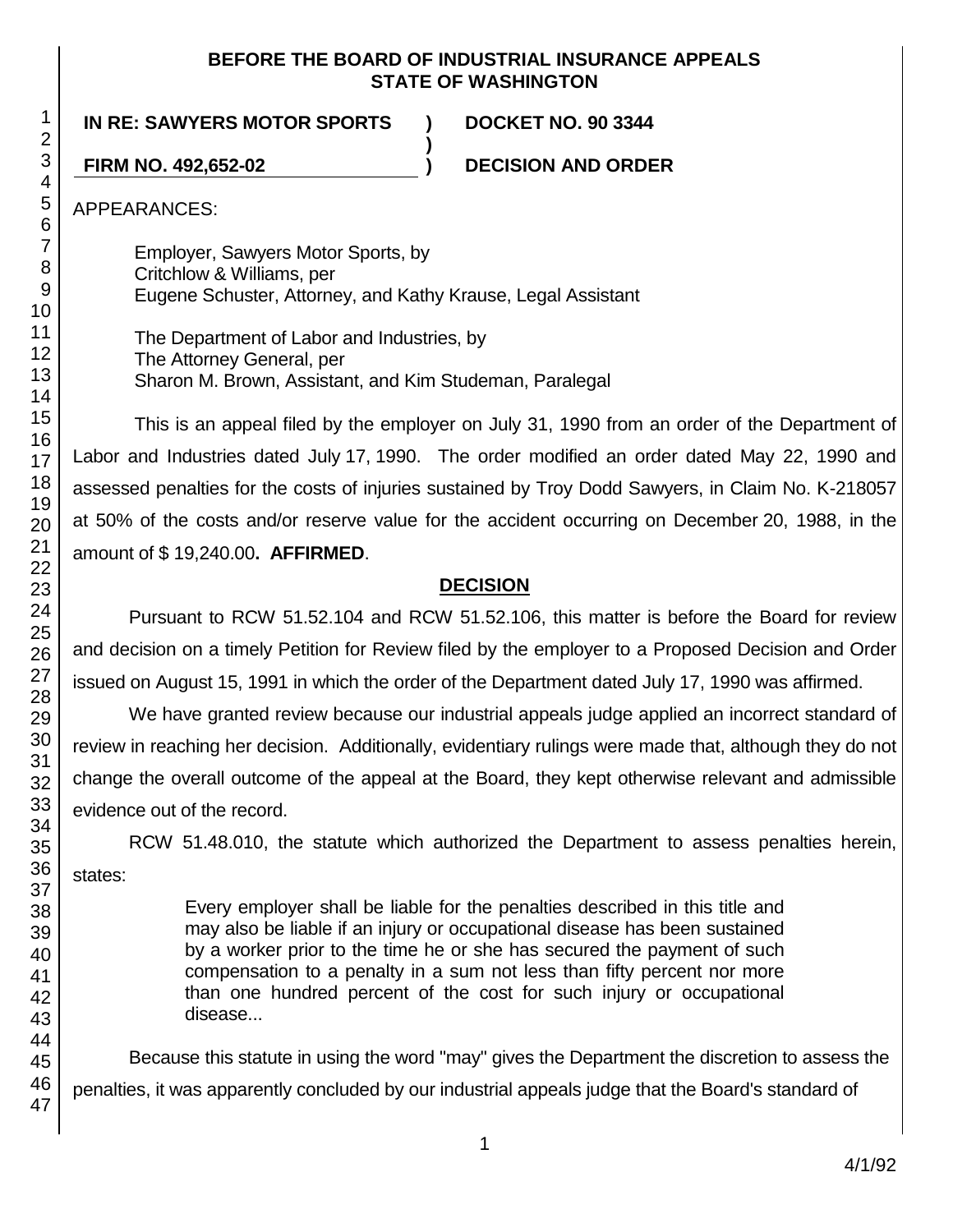### **BEFORE THE BOARD OF INDUSTRIAL INSURANCE APPEALS STATE OF WASHINGTON**

**IN RE: SAWYERS MOTOR SPORTS ) DOCKET NO. 90 3344**

**FIRM NO. 492,652-02 ) DECISION AND ORDER**

APPEARANCES:

Employer, Sawyers Motor Sports, by Critchlow & Williams, per Eugene Schuster, Attorney, and Kathy Krause, Legal Assistant

**)**

The Department of Labor and Industries, by The Attorney General, per Sharon M. Brown, Assistant, and Kim Studeman, Paralegal

This is an appeal filed by the employer on July 31, 1990 from an order of the Department of Labor and Industries dated July 17, 1990. The order modified an order dated May 22, 1990 and assessed penalties for the costs of injuries sustained by Troy Dodd Sawyers, in Claim No. K-218057 at 50% of the costs and/or reserve value for the accident occurring on December 20, 1988, in the amount of \$ 19,240.00**. AFFIRMED**.

# **DECISION**

Pursuant to RCW 51.52.104 and RCW 51.52.106, this matter is before the Board for review and decision on a timely Petition for Review filed by the employer to a Proposed Decision and Order issued on August 15, 1991 in which the order of the Department dated July 17, 1990 was affirmed.

We have granted review because our industrial appeals judge applied an incorrect standard of review in reaching her decision. Additionally, evidentiary rulings were made that, although they do not change the overall outcome of the appeal at the Board, they kept otherwise relevant and admissible evidence out of the record.

RCW 51.48.010, the statute which authorized the Department to assess penalties herein, states:

> Every employer shall be liable for the penalties described in this title and may also be liable if an injury or occupational disease has been sustained by a worker prior to the time he or she has secured the payment of such compensation to a penalty in a sum not less than fifty percent nor more than one hundred percent of the cost for such injury or occupational disease...

Because this statute in using the word "may" gives the Department the discretion to assess the penalties, it was apparently concluded by our industrial appeals judge that the Board's standard of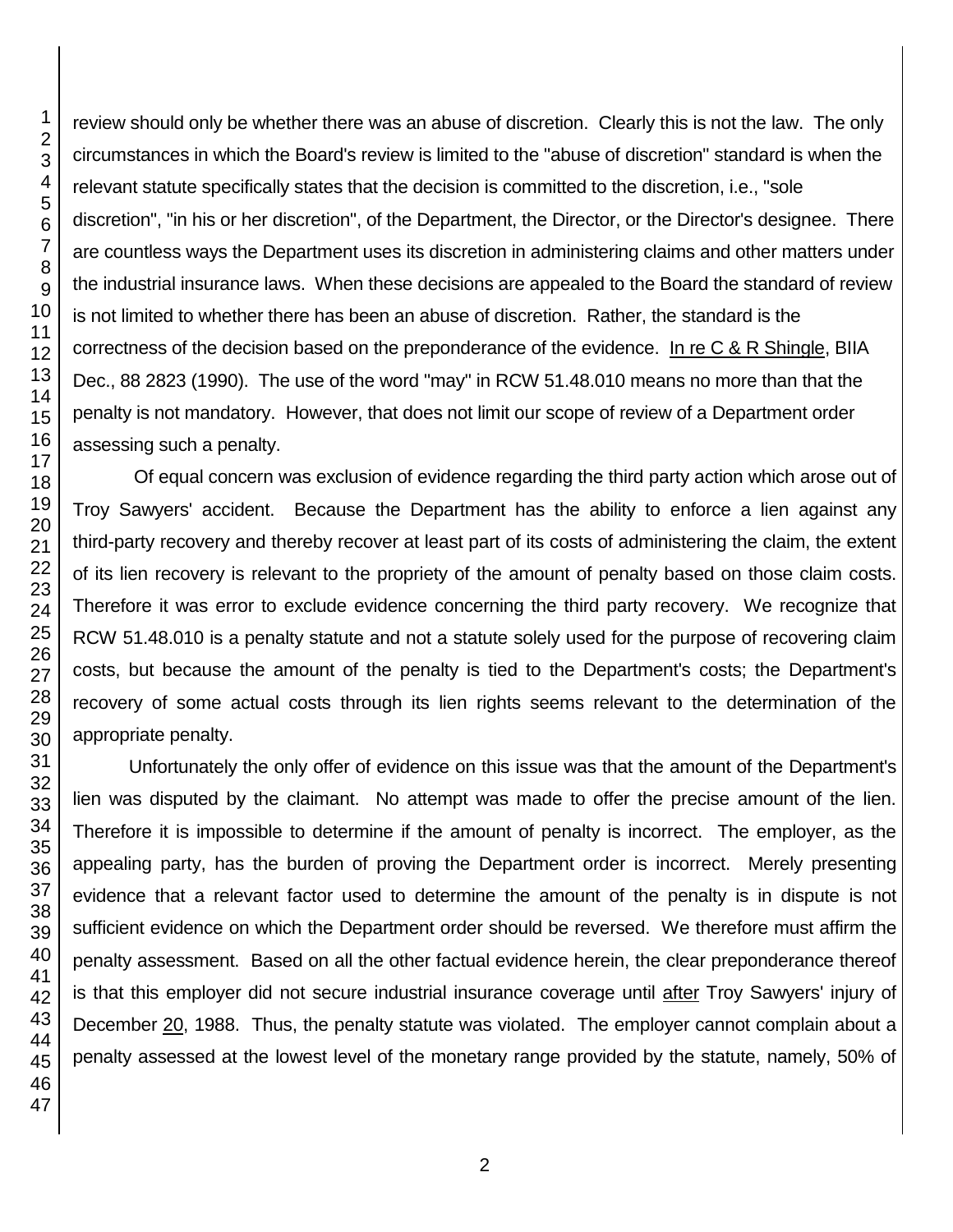review should only be whether there was an abuse of discretion. Clearly this is not the law. The only circumstances in which the Board's review is limited to the "abuse of discretion" standard is when the relevant statute specifically states that the decision is committed to the discretion, i.e., "sole discretion", "in his or her discretion", of the Department, the Director, or the Director's designee. There are countless ways the Department uses its discretion in administering claims and other matters under the industrial insurance laws. When these decisions are appealed to the Board the standard of review is not limited to whether there has been an abuse of discretion. Rather, the standard is the correctness of the decision based on the preponderance of the evidence. In re C & R Shingle, BIIA Dec., 88 2823 (1990). The use of the word "may" in RCW 51.48.010 means no more than that the penalty is not mandatory. However, that does not limit our scope of review of a Department order assessing such a penalty.

Of equal concern was exclusion of evidence regarding the third party action which arose out of Troy Sawyers' accident. Because the Department has the ability to enforce a lien against any third-party recovery and thereby recover at least part of its costs of administering the claim, the extent of its lien recovery is relevant to the propriety of the amount of penalty based on those claim costs. Therefore it was error to exclude evidence concerning the third party recovery. We recognize that RCW 51.48.010 is a penalty statute and not a statute solely used for the purpose of recovering claim costs, but because the amount of the penalty is tied to the Department's costs; the Department's recovery of some actual costs through its lien rights seems relevant to the determination of the appropriate penalty.

Unfortunately the only offer of evidence on this issue was that the amount of the Department's lien was disputed by the claimant. No attempt was made to offer the precise amount of the lien. Therefore it is impossible to determine if the amount of penalty is incorrect. The employer, as the appealing party, has the burden of proving the Department order is incorrect. Merely presenting evidence that a relevant factor used to determine the amount of the penalty is in dispute is not sufficient evidence on which the Department order should be reversed. We therefore must affirm the penalty assessment. Based on all the other factual evidence herein, the clear preponderance thereof is that this employer did not secure industrial insurance coverage until after Troy Sawyers' injury of December 20, 1988. Thus, the penalty statute was violated. The employer cannot complain about a penalty assessed at the lowest level of the monetary range provided by the statute, namely, 50% of